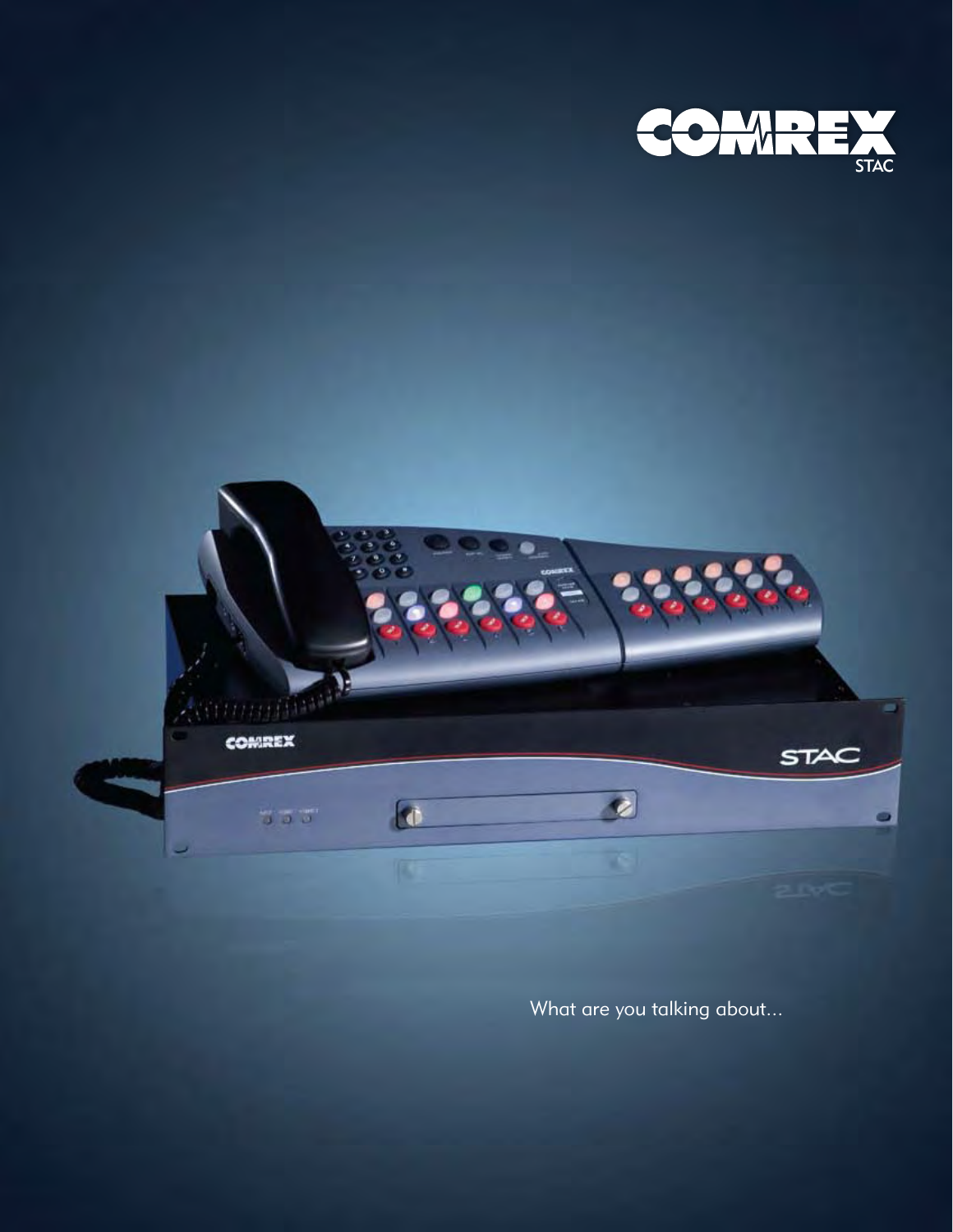



What are you talking about...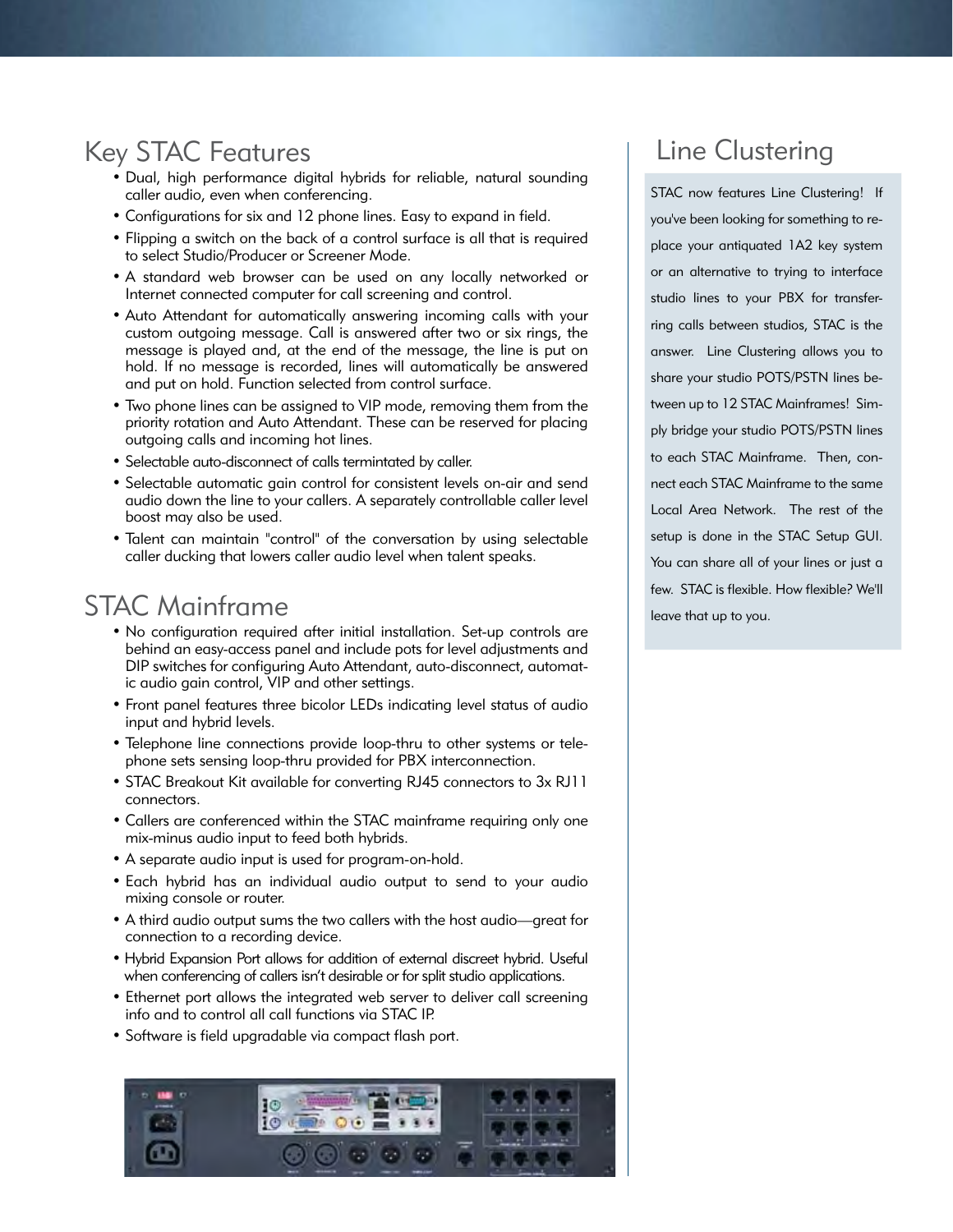# Key STAC Features

- Dual, high performance digital hybrids for reliable, natural sounding caller audio, even when conferencing.
- Configurations for six and 12 phone lines. Easy to expand in field.
- Flipping a switch on the back of a control surface is all that is required to select Studio/Producer or Screener Mode.
- A standard web browser can be used on any locally networked or Internet connected computer for call screening and control.
- Auto Attendant for automatically answering incoming calls with your custom outgoing message. Call is answered after two or six rings, the message is played and, at the end of the message, the line is put on hold. If no message is recorded, lines will automatically be answered and put on hold. Function selected from control surface.
- Two phone lines can be assigned to VIP mode, removing them from the priority rotation and Auto Attendant. These can be reserved for placing outgoing calls and incoming hot lines.
- Selectable auto-disconnect of calls termintated by caller.
- Selectable automatic gain control for consistent levels on-air and send audio down the line to your callers. A separately controllable caller level boost may also be used.
- Talent can maintain "control" of the conversation by using selectable caller ducking that lowers caller audio level when talent speaks.

# STAC Mainframe

- No configuration required after initial installation. Set-up controls are behind an easy-access panel and include pots for level adjustments and DIP switches for configuring Auto Attendant, auto-disconnect, automatic audio gain control, VIP and other settings.
- Front panel features three bicolor LEDs indicating level status of audio input and hybrid levels.
- Telephone line connections provide loop-thru to other systems or telephone sets sensing loop-thru provided for PBX interconnection.
- STAC Breakout Kit available for converting RJ45 connectors to 3x RJ11 connectors.
- Callers are conferenced within the STAC mainframe requiring only one mix-minus audio input to feed both hybrids.
- A separate audio input is used for program-on-hold.
- Each hybrid has an individual audio output to send to your audio mixing console or router.
- A third audio output sums the two callers with the host audio—great for connection to a recording device.
- Hybrid Expansion Port allows for addition of external discreet hybrid. Useful when conferencing of callers isn't desirable or for split studio applications.
- Ethernet port allows the integrated web server to deliver call screening info and to control all call functions via STAC IP.
- Software is field upgradable via compact flash port.



# Line Clustering

STAC now features Line Clustering! If you've been looking for something to replace your antiquated 1A2 key system or an alternative to trying to interface studio lines to your PBX for transferring calls between studios, STAC is the answer. Line Clustering allows you to share your studio POTS/PSTN lines between up to 12 STAC Mainframes! Simply bridge your studio POTS/PSTN lines to each STAC Mainframe. Then, connect each STAC Mainframe to the same Local Area Network. The rest of the setup is done in the STAC Setup GUI. You can share all of your lines or just a few. STAC is flexible. How flexible? We'll leave that up to you.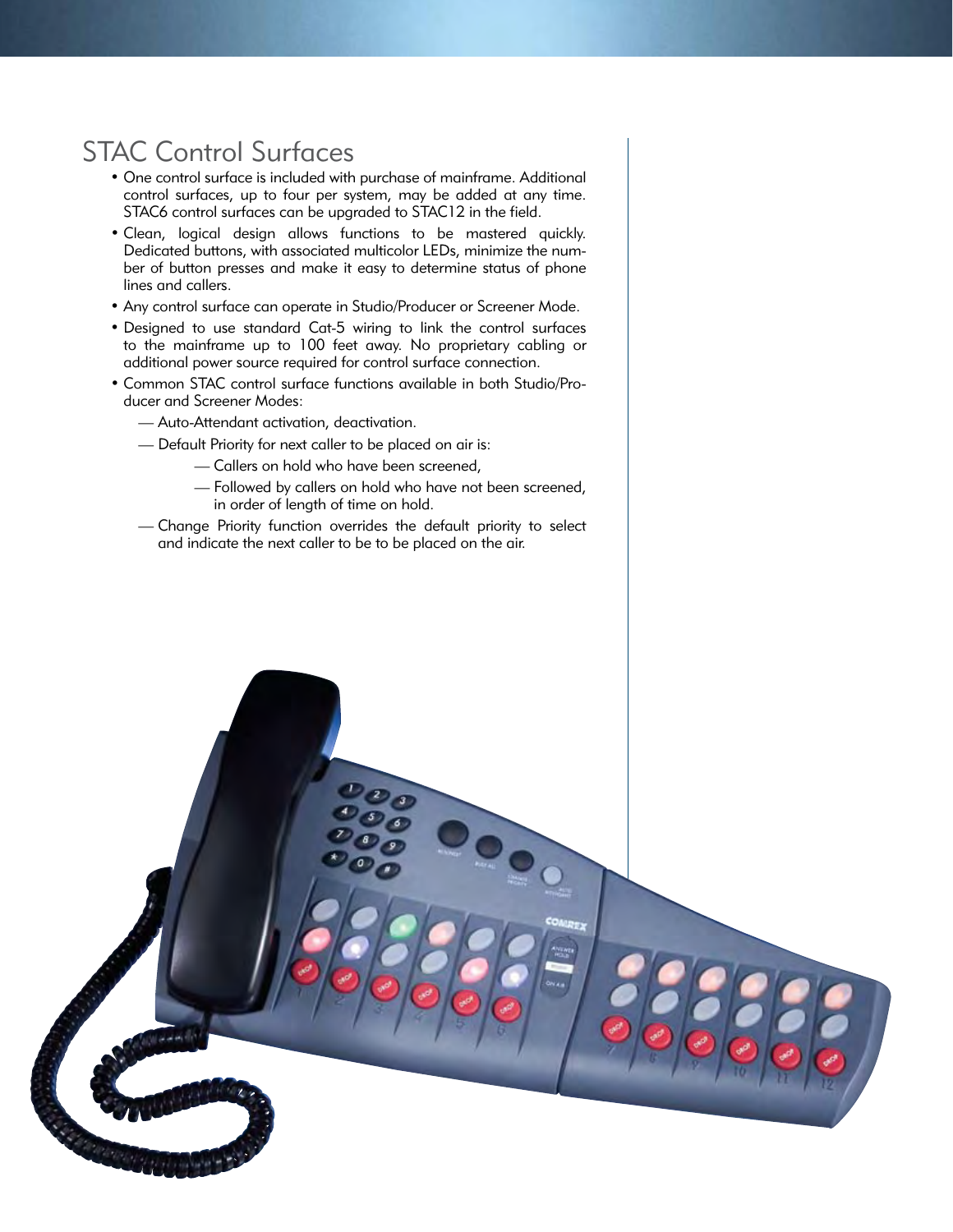# STAC Control Surfaces

- One control surface is included with purchase of mainframe. Additional control surfaces, up to four per system, may be added at any time. STAC6 control surfaces can be upgraded to STAC12 in the field.
- Clean, logical design allows functions to be mastered quickly. Dedicated buttons, with associated multicolor LEDs, minimize the number of button presses and make it easy to determine status of phone lines and callers.
- Any control surface can operate in Studio/Producer or Screener Mode.
- Designed to use standard Cat-5 wiring to link the control surfaces to the mainframe up to 100 feet away. No proprietary cabling or additional power source required for control surface connection.
- Common STAC control surface functions available in both Studio/Producer and Screener Modes:
	- Auto-Attendant activation, deactivation.
	- Default Priority for next caller to be placed on air is:
		- Callers on hold who have been screened,
		- Followed by callers on hold who have not been screened, in order of length of time on hold.
	- Change Priority function overrides the default priority to select and indicate the next caller to be to be placed on the air.

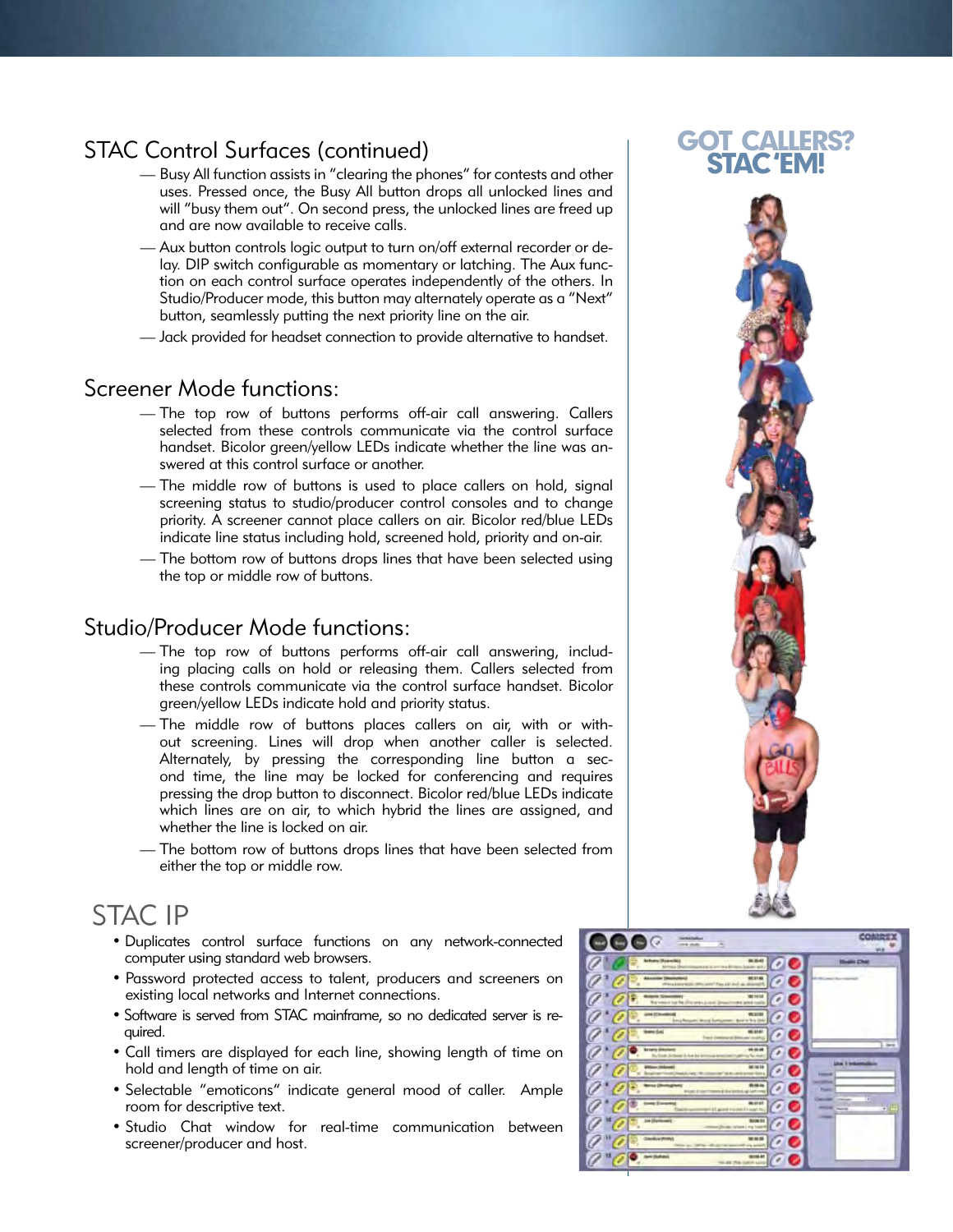# STAC Control Surfaces (continued)

- Busy All function assists in "clearing the phones" for contests and other uses. Pressed once, the Busy All button drops all unlocked lines and will "busy them out". On second press, the unlocked lines are freed up and are now available to receive calls.
- Aux button controls logic output to turn on/off external recorder or delay. DIP switch configurable as momentary or latching. The Aux function on each control surface operates independently of the others. In Studio/Producer mode, this button may alternately operate as a "Next" button, seamlessly putting the next priority line on the air.
- Jack provided for headset connection to provide alternative to handset.

## Screener Mode functions:

- The top row of buttons performs off-air call answering. Callers selected from these controls communicate via the control surface handset. Bicolor green/yellow LEDs indicate whether the line was answered at this control surface or another.
- The middle row of buttons is used to place callers on hold, signal screening status to studio/producer control consoles and to change priority. A screener cannot place callers on air. Bicolor red/blue LEDs indicate line status including hold, screened hold, priority and on-air.
- The bottom row of buttons drops lines that have been selected using the top or middle row of buttons.

## Studio/Producer Mode functions:

- The top row of buttons performs off-air call answering, including placing calls on hold or releasing them. Callers selected from these controls communicate via the control surface handset. Bicolor green/yellow LEDs indicate hold and priority status.
- The middle row of buttons places callers on air, with or without screening. Lines will drop when another caller is selected. Alternately, by pressing the corresponding line button a second time, the line may be locked for conferencing and requires pressing the drop button to disconnect. Bicolor red/blue LEDs indicate which lines are on air, to which hybrid the lines are assigned, and whether the line is locked on air.
- The bottom row of buttons drops lines that have been selected from either the top or middle row.

# STAC IP

- Duplicates control surface functions on any network-connected computer using standard web browsers.
- Password protected access to talent, producers and screeners on existing local networks and Internet connections.
- Software is served from STAC mainframe, so no dedicated server is required.
- Call timers are displayed for each line, showing length of time on hold and length of time on air.
- Selectable "emoticons" indicate general mood of caller. Ample room for descriptive text.
- Studio Chat window for real-time communication between screener/producer and host.



## Got Callers? STAC 'EM!

![](_page_3_Picture_21.jpeg)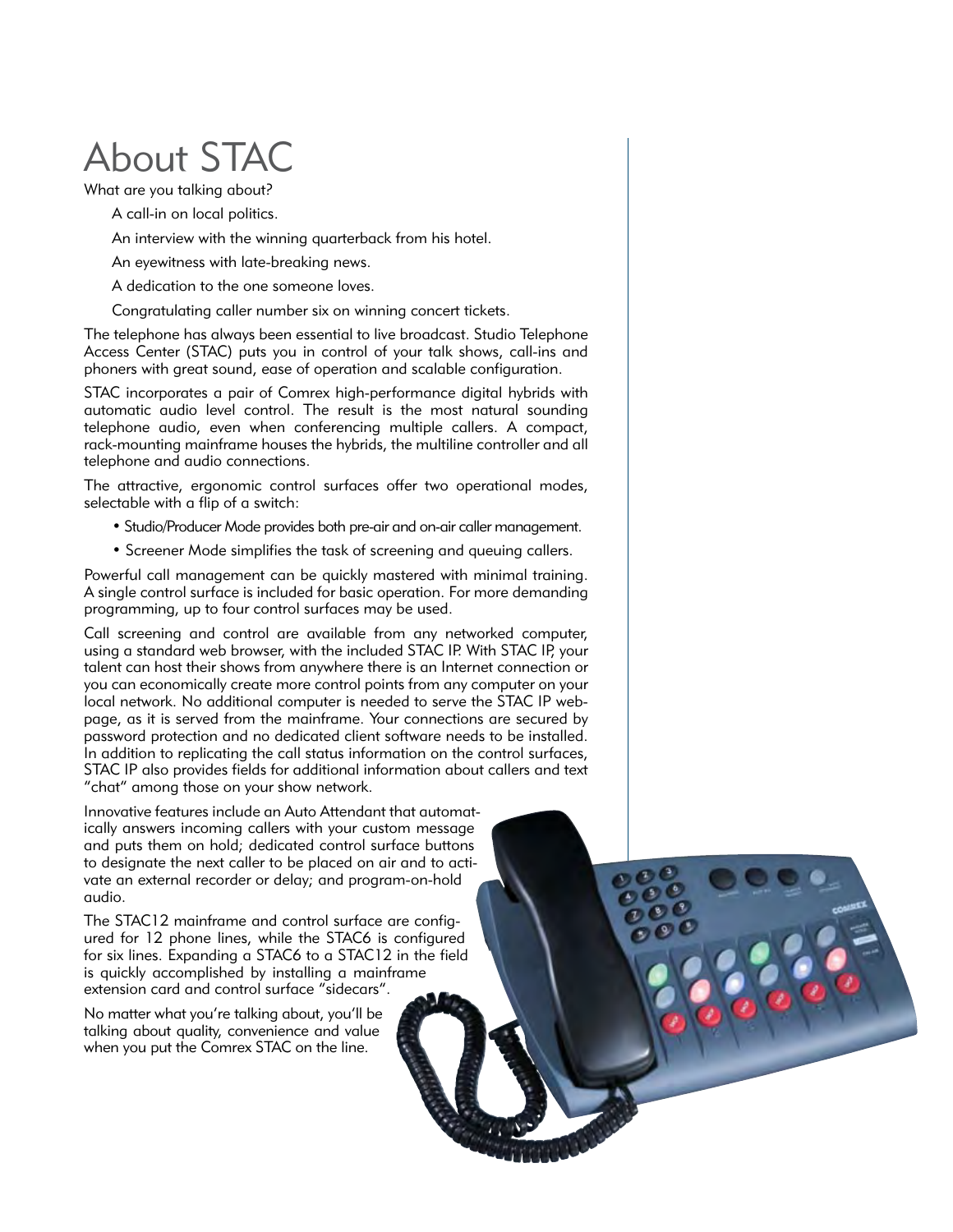# About STAC

What are you talking about?

A call-in on local politics.

An interview with the winning quarterback from his hotel.

An eyewitness with late-breaking news.

A dedication to the one someone loves.

Congratulating caller number six on winning concert tickets.

The telephone has always been essential to live broadcast. Studio Telephone Access Center (STAC) puts you in control of your talk shows, call-ins and phoners with great sound, ease of operation and scalable configuration.

STAC incorporates a pair of Comrex high-performance digital hybrids with automatic audio level control. The result is the most natural sounding telephone audio, even when conferencing multiple callers. A compact, rack-mounting mainframe houses the hybrids, the multiline controller and all telephone and audio connections.

The attractive, ergonomic control surfaces offer two operational modes, selectable with a flip of a switch:

- Studio/Producer Mode provides both pre-air and on-air caller management.
- Screener Mode simplifies the task of screening and queuing callers.

Powerful call management can be quickly mastered with minimal training. A single control surface is included for basic operation. For more demanding programming, up to four control surfaces may be used.

Call screening and control are available from any networked computer, using a standard web browser, with the included STAC IP. With STAC IP, your talent can host their shows from anywhere there is an Internet connection or you can economically create more control points from any computer on your local network. No additional computer is needed to serve the STAC IP webpage, as it is served from the mainframe. Your connections are secured by password protection and no dedicated client software needs to be installed. In addition to replicating the call status information on the control surfaces, STAC IP also provides fields for additional information about callers and text "chat" among those on your show network.

Innovative features include an Auto Attendant that automatically answers incoming callers with your custom message and puts them on hold; dedicated control surface buttons to designate the next caller to be placed on air and to activate an external recorder or delay; and program-on-hold audio.

The STAC12 mainframe and control surface are configured for 12 phone lines, while the STAC6 is configured for six lines. Expanding a STAC6 to a STAC12 in the field is quickly accomplished by installing a mainframe extension card and control surface "sidecars".

No matter what you're talking about, you'll be talking about quality, convenience and value when you put the Comrex STAC on the line.